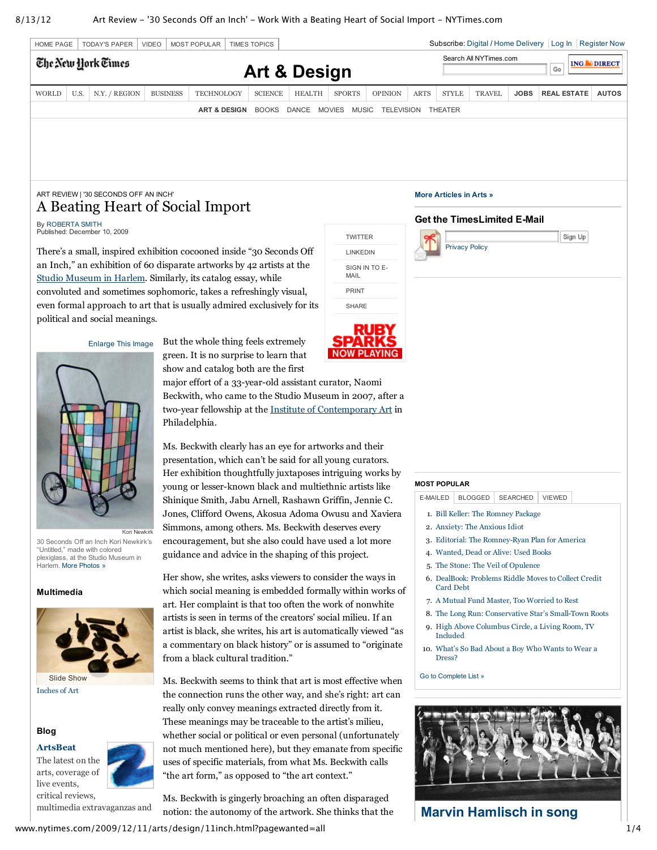| HOME PAGE                                                                                                            |      | TODAY'S PAPER | VIDEO | <b>MOST POPULAR</b>                  | TIMES TOPICS                   |               |               |                |             |                                                   |               |             | Subscribe: Digital / Home Delivery   Log In    Register Now |              |
|----------------------------------------------------------------------------------------------------------------------|------|---------------|-------|--------------------------------------|--------------------------------|---------------|---------------|----------------|-------------|---------------------------------------------------|---------------|-------------|-------------------------------------------------------------|--------------|
| The New York Times                                                                                                   |      |               |       |                                      |                                | Art & Design  |               |                |             | Search All NYTimes.com<br><b>ING</b> DIRECT<br>Go |               |             |                                                             |              |
| WORLD                                                                                                                | U.S. | N.Y. / REGION |       | <b>BUSINESS</b><br><b>TECHNOLOGY</b> | <b>SCIENCE</b>                 | <b>HEALTH</b> | <b>SPORTS</b> | <b>OPINION</b> | <b>ARTS</b> | <b>STYLE</b>                                      | <b>TRAVEL</b> | <b>JOBS</b> | <b>REAL ESTATE</b>                                          | <b>AUTOS</b> |
| <b>ART &amp; DESIGN</b><br><b>BOOKS</b><br>DANCE<br><b>MOVIES</b><br><b>MUSIC</b><br>TELEVISION<br>THEATER           |      |               |       |                                      |                                |               |               |                |             |                                                   |               |             |                                                             |              |
|                                                                                                                      |      |               |       |                                      |                                |               |               |                |             |                                                   |               |             |                                                             |              |
|                                                                                                                      |      |               |       |                                      |                                |               |               |                |             |                                                   |               |             |                                                             |              |
|                                                                                                                      |      |               |       |                                      |                                |               |               |                |             |                                                   |               |             |                                                             |              |
|                                                                                                                      |      |               |       |                                      |                                |               |               |                |             |                                                   |               |             |                                                             |              |
| ART REVIEW   '30 SECONDS OFF AN INCH'<br>$\cdot$ $\cdot$ $\cdot$<br>$\sim$ $\sim$ $\sim$ $\sim$ $\sim$ $\sim$ $\sim$ |      |               |       |                                      | <b>More Articles in Arts »</b> |               |               |                |             |                                                   |               |             |                                                             |              |

TWITTER LINKEDIN

MAIL PRINT **SHARE** 

# A Beating Heart of Social Import

By ROBERTA SMITH Published: December 10, 2009

There's a small, inspired exhibition cocooned inside "30 Seconds Off an Inch," an exhibition of 60 disparate artworks by 42 artists at the Studio Museum in Harlem. Similarly, its catalog essay, while convoluted and sometimes sophomoric, takes a refreshingly visual, even formal approach to art that is usually admired exclusively for its political and social meanings.

Enlarge This Image

But the whole thing feels extremely green. It is no surprise to learn that show and catalog both are the first

major effort of a 33-year-old assistant curator, Naomi Beckwith, who came to the Studio Museum in 2007, after a two-year fellowship at the Institute of Contemporary Art in Philadelphia.

Ms. Beckwith clearly has an eye for artworks and their presentation, which can't be said for all young curators. Her exhibition thoughtfully juxtaposes intriguing works by young or lesser-known black and multiethnic artists like Shinique Smith, Jabu Arnell, Rashawn Griffin, Jennie C. Jones, Clifford Owens, Akosua Adoma Owusu and Xaviera Simmons, among others. Ms. Beckwith deserves every encouragement, but she also could have used a lot more guidance and advice in the shaping of this project.

Her show, she writes, asks viewers to consider the ways in which social meaning is embedded formally within works of art. Her complaint is that too often the work of nonwhite artists is seen in terms of the creators' social milieu. If an artist is black, she writes, his art is automatically viewed "as a commentary on black history" or is assumed to "originate from a black cultural tradition."

Ms. Beckwith seems to think that art is most effective when the connection runs the other way, and she's right: art can really only convey meanings extracted directly from it. These meanings may be traceable to the artist's milieu, whether social or political or even personal (unfortunately not much mentioned here), but they emanate from specific uses of specific materials, from what Ms. Beckwith calls "the art form," as opposed to "the art context."

Ms. Beckwith is gingerly broaching an often disparaged notion: the autonomy of the artwork. She thinks that the





E-MAILED BLOGGED SEARCHED VIEWED

- 1. Bill Keller: The Romney Package
- 2. Anxiety: The Anxious Idiot
- 3. Editorial: The Romney-Ryan Plan for America
- 4. Wanted, Dead or Alive: Used Books
- 5. The Stone: The Veil of Opulence
- 6. DealBook: Problems Riddle Moves to Collect Credit Card Debt
- 7. A Mutual Fund Master, Too Worried to Rest
- 8. The Long Run: Conservative Star's Small-Town Roots
- 9. High Above Columbus Circle, a Living Room, TV Included
- 10. What's So Bad About a Boy Who Wants to Wear a Dress?

Go to Complete List »



**Marvin Hamlisch in song**

# Kori Newkirk

30 Seconds Off an Inch Kori Newkirk's "Untitled," made with colored plexiglass, at the Studio Museum in Harlem. More Photos »

# **Multimedia**



Inches of Art

# **Blog**

**ArtsBeat**

The latest on the arts, coverage of live events,

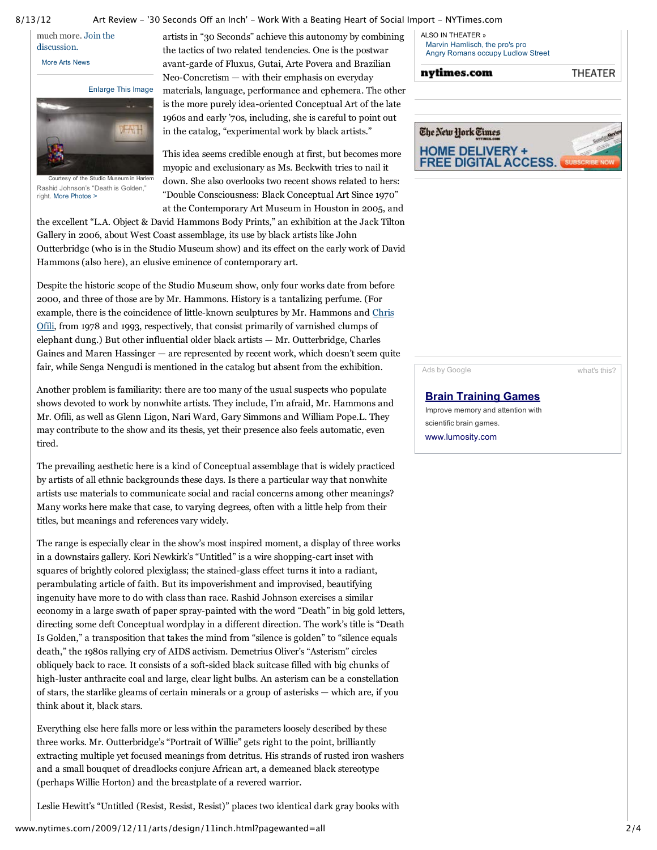8/13/12 Art Review ‑ '30 Seconds Off an Inch' ‑ Work With a Beating Heart of Social Import ‑ NYTimes.com

much more. Join the discussion.

More Arts News

Enlarge This Image



Courtesy of the Studio Museum in Harlem Rashid Johnson's "Death is Golden," right. More Photos >

artists in "30 Seconds" achieve this autonomy by combining the tactics of two related tendencies. One is the postwar avant-garde of Fluxus, Gutai, Arte Povera and Brazilian  $N$ eo-Concretism  $-$  with their emphasis on everyday materials, language, performance and ephemera. The other is the more purely idea-oriented Conceptual Art of the late 1960s and early '70s, including, she is careful to point out in the catalog, "experimental work by black artists."

This idea seems credible enough at first, but becomes more myopic and exclusionary as Ms. Beckwith tries to nail it down. She also overlooks two recent shows related to hers: "Double Consciousness: Black Conceptual Art Since 1970" at the Contemporary Art Museum in Houston in 2005, and

the excellent "L.A. Object & David Hammons Body Prints," an exhibition at the Jack Tilton Gallery in 2006, about West Coast assemblage, its use by black artists like John Outterbridge (who is in the Studio Museum show) and its effect on the early work of David Hammons (also here), an elusive eminence of contemporary art.

Despite the historic scope of the Studio Museum show, only four works date from before 2000, and three of those are by Mr. Hammons. History is a tantalizing perfume. (For example, there is the coincidence of little-known sculptures by Mr. Hammons and Chris Ofili, from 1978 and 1993, respectively, that consist primarily of varnished clumps of elephant dung.) But other influential older black artists — Mr. Outterbridge, Charles Gaines and Maren Hassinger — are represented by recent work, which doesn't seem quite fair, while Senga Nengudi is mentioned in the catalog but absent from the exhibition.

Another problem is familiarity: there are too many of the usual suspects who populate shows devoted to work by nonwhite artists. They include, I'm afraid, Mr. Hammons and Mr. Ofili, as well as Glenn Ligon, Nari Ward, Gary Simmons and William Pope.L. They may contribute to the show and its thesis, yet their presence also feels automatic, even tired.

The prevailing aesthetic here is a kind of Conceptual assemblage that is widely practiced by artists of all ethnic backgrounds these days. Is there a particular way that nonwhite artists use materials to communicate social and racial concerns among other meanings? Many works here make that case, to varying degrees, often with a little help from their titles, but meanings and references vary widely.

The range is especially clear in the show's most inspired moment, a display of three works in a downstairs gallery. Kori Newkirk's "Untitled" is a wire shopping-cart inset with squares of brightly colored plexiglass; the stained-glass effect turns it into a radiant, perambulating article of faith. But its impoverishment and improvised, beautifying ingenuity have more to do with class than race. Rashid Johnson exercises a similar economy in a large swath of paper spray-painted with the word "Death" in big gold letters, directing some deft Conceptual wordplay in a different direction. The work's title is "Death Is Golden," a transposition that takes the mind from "silence is golden" to "silence equals death," the 1980s rallying cry of AIDS activism. Demetrius Oliver's "Asterism" circles obliquely back to race. It consists of a soft-sided black suitcase filled with big chunks of high-luster anthracite coal and large, clear light bulbs. An asterism can be a constellation of stars, the starlike gleams of certain minerals or a group of asterisks — which are, if you think about it, black stars.

Everything else here falls more or less within the parameters loosely described by these three works. Mr. Outterbridge's "Portrait of Willie" gets right to the point, brilliantly extracting multiple yet focused meanings from detritus. His strands of rusted iron washers and a small bouquet of dreadlocks conjure African art, a demeaned black stereotype (perhaps Willie Horton) and the breastplate of a revered warrior.

Leslie Hewitt's "Untitled (Resist, Resist, Resist)" places two identical dark gray books with

ALSO IN THEATER » Marvin Hamlisch, the pro's pro Angry Romans occupy Ludlow Street

# nytimes.com

**THEATER** 



Ads by Google **business** what's this?

# **Brain Training Games**

Improve memory and attention with scientific brain games. www.lumosity.com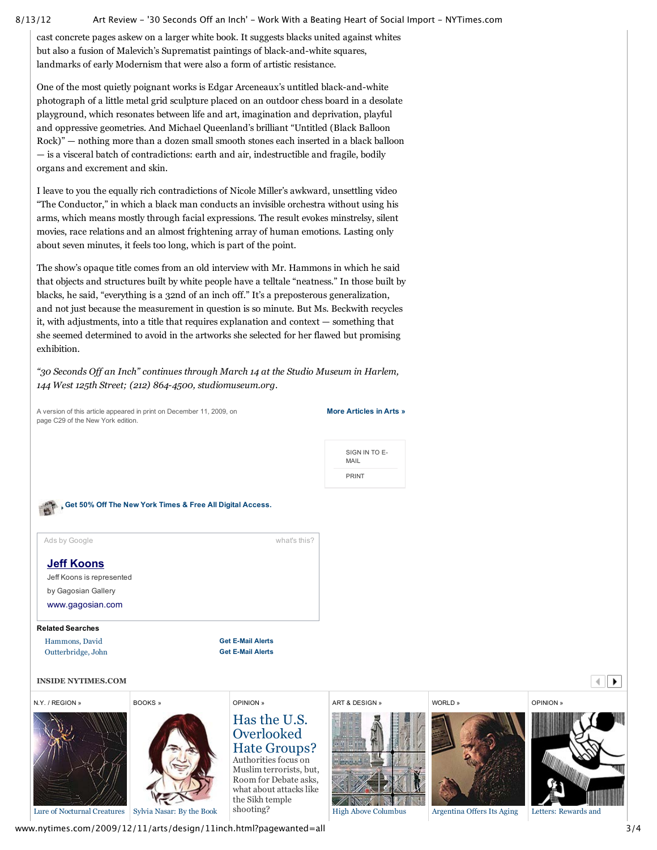8/13/12 Art Review ‑ '30 Seconds Off an Inch' ‑ Work With a Beating Heart of Social Import ‑ NYTimes.com

cast concrete pages askew on a larger white book. It suggests blacks united against whites but also a fusion of Malevich's Suprematist paintings of black-and-white squares, landmarks of early Modernism that were also a form of artistic resistance.

One of the most quietly poignant works is Edgar Arceneaux's untitled black-and-white photograph of a little metal grid sculpture placed on an outdoor chess board in a desolate playground, which resonates between life and art, imagination and deprivation, playful and oppressive geometries. And Michael Queenland's brilliant "Untitled (Black Balloon Rock)" — nothing more than a dozen small smooth stones each inserted in a black balloon — is a visceral batch of contradictions: earth and air, indestructible and fragile, bodily organs and excrement and skin.

I leave to you the equally rich contradictions of Nicole Miller's awkward, unsettling video "The Conductor," in which a black man conducts an invisible orchestra without using his arms, which means mostly through facial expressions. The result evokes minstrelsy, silent movies, race relations and an almost frightening array of human emotions. Lasting only about seven minutes, it feels too long, which is part of the point.

The show's opaque title comes from an old interview with Mr. Hammons in which he said that objects and structures built by white people have a telltale "neatness." In those built by blacks, he said, "everything is a 32nd of an inch off." It's a preposterous generalization, and not just because the measurement in question is so minute. But Ms. Beckwith recycles it, with adjustments, into a title that requires explanation and context — something that she seemed determined to avoid in the artworks she selected for her flawed but promising exhibition.

*"30 Seconds Off an Inch" continues through March 14 at the Studio Museum in Harlem, 144 West 125th Street; (212) 864-4500, studiomuseum.org.*

A version of this article appeared in print on December 11, 2009, on **More Articles in Arts »** page C29 of the New York edition.





Ads by Google what's this?

**Jeff Koons**

Jeff Koons is represented by Gagosian Gallery

www.gagosian.com

# **Related Searches**

Outterbridge, John **Get E-Mail Alerts**

Hammons, David **Get E-Mail Alerts**

OPINION »

Has the U.S. Overlooked

Authorities focus on

the Sikh temple shooting?

# **INSIDE NYTIMES.COM**

## N.Y. / REGION »





Lure of Nocturnal Creatures Sylvia Nasar: By the Book

www.nytimes.com/2009/12/11/arts/design/11inch.html?pagewanted=all 3/4



High Above Columbus





Argentina Offers Its Aging



Letters: Rewards and

OPINION »